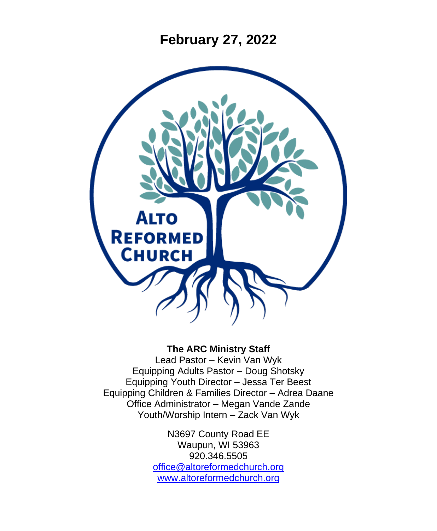**February 27, 2022**



### **The ARC Ministry Staff**

Lead Pastor – Kevin Van Wyk Equipping Adults Pastor – Doug Shotsky Equipping Youth Director – Jessa Ter Beest Equipping Children & Families Director – Adrea Daane Office Administrator – Megan Vande Zande Youth/Worship Intern – Zack Van Wyk

> N3697 County Road EE Waupun, WI 53963 920.346.5505 [office@altoreformedchurch.org](mailto:office@altoreformedchurch.org) [www.altoreformedchurch.org](http://www.altoreformedchurch.org/)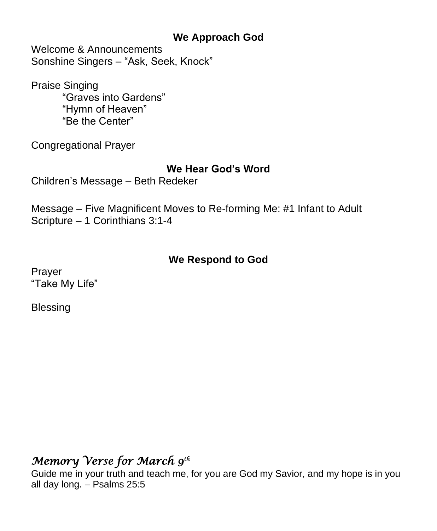## **We Approach God**

Welcome & Announcements Sonshine Singers – "Ask, Seek, Knock"

Praise Singing "Graves into Gardens" "Hymn of Heaven" "Be the Center"

Congregational Prayer

## **We Hear God's Word**

Children's Message – Beth Redeker

Message – Five Magnificent Moves to Re-forming Me: #1 Infant to Adult Scripture – 1 Corinthians 3:1-4

## **We Respond to God**

Prayer "Take My Life"

Blessing

## *Memory Verse for March 9th*

Guide me in your truth and teach me, for you are God my Savior, and my hope is in you all day long. – Psalms 25:5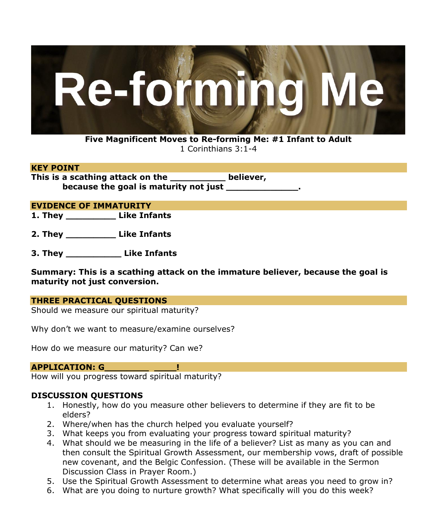

**Five Magnificent Moves to Re-forming Me: #1 Infant to Adult** 1 Corinthians 3:1-4

#### **KEY POINT**

**This is a scathing attack on the \_\_\_\_\_\_\_\_\_\_ believer, because the goal is maturity not just** 

#### **EVIDENCE OF IMMATURITY**

**1. They \_\_\_\_\_\_\_\_\_ Like Infants**

**2. They \_\_\_\_\_\_\_\_\_ Like Infants**

**3. They \_\_\_\_\_\_\_\_\_\_ Like Infants**

**Summary: This is a scathing attack on the immature believer, because the goal is maturity not just conversion.**

#### **THREE PRACTICAL QUESTIONS**

Should we measure our spiritual maturity?

Why don't we want to measure/examine ourselves?

How do we measure our maturity? Can we?

#### **APPLICATION: G\_\_\_\_\_\_\_\_ \_\_\_\_!**

How will you progress toward spiritual maturity?

#### **DISCUSSION QUESTIONS**

- 1. Honestly, how do you measure other believers to determine if they are fit to be elders?
- 2. Where/when has the church helped you evaluate yourself?
- 3. What keeps you from evaluating your progress toward spiritual maturity?
- 4. What should we be measuring in the life of a believer? List as many as you can and then consult the Spiritual Growth Assessment, our membership vows, draft of possible new covenant, and the Belgic Confession. (These will be available in the Sermon Discussion Class in Prayer Room.)
- 5. Use the Spiritual Growth Assessment to determine what areas you need to grow in?
- 6. What are you doing to nurture growth? What specifically will you do this week?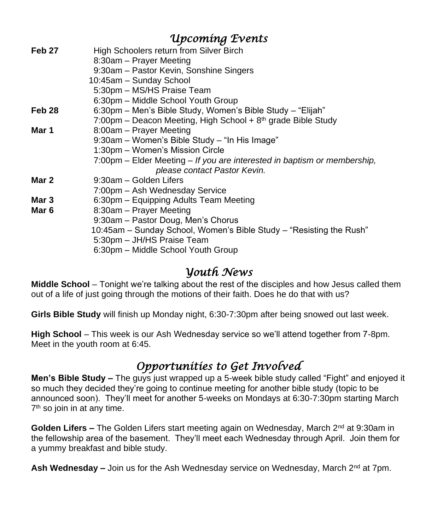|        | Upcomíng Events                                                          |
|--------|--------------------------------------------------------------------------|
| Feb 27 | High Schoolers return from Silver Birch                                  |
|        | 8:30am - Prayer Meeting                                                  |
|        | 9:30am - Pastor Kevin, Sonshine Singers                                  |
|        | 10:45am - Sunday School                                                  |
|        | 5:30pm - MS/HS Praise Team                                               |
|        | 6:30pm - Middle School Youth Group                                       |
| Feb 28 | 6:30pm – Men's Bible Study, Women's Bible Study – "Elijah"               |
|        | 7:00pm – Deacon Meeting, High School + $8th$ grade Bible Study           |
| Mar 1  | 8:00am - Prayer Meeting                                                  |
|        | 9:30am - Women's Bible Study - "In His Image"                            |
|        | 1:30pm - Women's Mission Circle                                          |
|        | 7:00pm – Elder Meeting – If you are interested in baptism or membership, |
|        | please contact Pastor Kevin.                                             |
| Mar 2  | 9:30am - Golden Lifers                                                   |
|        | 7:00pm - Ash Wednesday Service                                           |
| Mar 3  | 6:30pm – Equipping Adults Team Meeting                                   |
| Mar 6  | 8:30am - Prayer Meeting                                                  |
|        | 9:30am - Pastor Doug, Men's Chorus                                       |
|        | 10:45am – Sunday School, Women's Bible Study – "Resisting the Rush"      |
|        | 5:30pm - JH/HS Praise Team                                               |
|        | 6:30pm - Middle School Youth Group                                       |
|        |                                                                          |

## *Youth News*

**Middle School** – Tonight we're talking about the rest of the disciples and how Jesus called them out of a life of just going through the motions of their faith. Does he do that with us?

**Girls Bible Study** will finish up Monday night, 6:30-7:30pm after being snowed out last week.

**High School** – This week is our Ash Wednesday service so we'll attend together from 7-8pm. Meet in the youth room at 6:45.

## *Opportunities to Get Involved*

**Men's Bible Study –** The guys just wrapped up a 5-week bible study called "Fight" and enjoyed it so much they decided they're going to continue meeting for another bible study (topic to be announced soon). They'll meet for another 5-weeks on Mondays at 6:30-7:30pm starting March 7<sup>th</sup> so join in at any time.

Golden Lifers – The Golden Lifers start meeting again on Wednesday, March 2<sup>nd</sup> at 9:30am in the fellowship area of the basement. They'll meet each Wednesday through April. Join them for a yummy breakfast and bible study.

**Ash Wednesday –** Join us for the Ash Wednesday service on Wednesday, March 2<sup>nd</sup> at 7pm.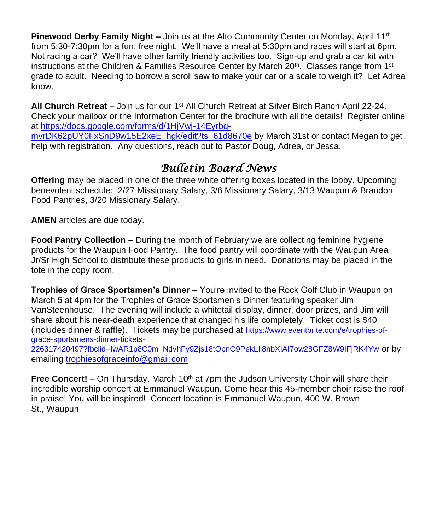**Pinewood Derby Family Night –** Join us at the Alto Community Center on Monday, April 11<sup>th</sup> from 5:30-7:30pm for a fun, free night. We'll have a meal at 5:30pm and races will start at 6pm. Not racing a car? We'll have other family friendly activities too. Sign-up and grab a car kit with instructions at the Children & Families Resource Center by March 20<sup>th</sup>. Classes range from 1<sup>st</sup> grade to adult. Needing to borrow a scroll saw to make your car or a scale to weigh it? Let Adrea know.

**All Church Retreat –** Join us for our 1st All Church Retreat at Silver Birch Ranch April 22-24. Check your mailbox or the Information Center for the brochure with all the details! Register online at [https://docs.google.com/forms/d/1HjVwj-14Eyrbq](https://docs.google.com/forms/d/1HjVwj-14Eyrbq-mvrDK62pUY0FxSnD9w15E2xeE_hgk/edit?ts=61d8670e)[mvrDK62pUY0FxSnD9w15E2xeE\\_hgk/edit?ts=61d8670e](https://docs.google.com/forms/d/1HjVwj-14Eyrbq-mvrDK62pUY0FxSnD9w15E2xeE_hgk/edit?ts=61d8670e) by March 31st or contact Megan to get

# *Bulletin Board News*

help with registration. Any questions, reach out to Pastor Doug, Adrea, or Jessa.

**Offering** may be placed in one of the three white offering boxes located in the lobby. Upcoming benevolent schedule: 2/27 Missionary Salary, 3/6 Missionary Salary, 3/13 Waupun & Brandon Food Pantries, 3/20 Missionary Salary.

**AMEN** articles are due today.

**Food Pantry Collection –** During the month of February we are collecting feminine hygiene products for the Waupun Food Pantry. The food pantry will coordinate with the Waupun Area Jr/Sr High School to distribute these products to girls in need. Donations may be placed in the tote in the copy room.

**Trophies of Grace Sportsmen's Dinner** – You're invited to the Rock Golf Club in Waupun on March 5 at 4pm for the Trophies of Grace Sportsmen's Dinner featuring speaker Jim VanSteenhouse. The evening will include a whitetail display, dinner, door prizes, and Jim will share about his near-death experience that changed his life completely. Ticket cost is \$40 (includes dinner & raffle). Tickets may be purchased at [https://www.eventbrite.com/e/trophies-of](https://www.eventbrite.com/e/trophies-of-grace-sportsmens-dinner-tickets-226317420497?fbclid=IwAR1p8C0m_NdvhFy9Zjs18tOpnO9PekLIj8nbXIAI7ow28GFZ8W9IFjRK4Yw)[grace-sportsmens-dinner-tickets-](https://www.eventbrite.com/e/trophies-of-grace-sportsmens-dinner-tickets-226317420497?fbclid=IwAR1p8C0m_NdvhFy9Zjs18tOpnO9PekLIj8nbXIAI7ow28GFZ8W9IFjRK4Yw)

[226317420497?fbclid=IwAR1p8C0m\\_NdvhFy9Zjs18tOpnO9PekLIj8nbXIAI7ow28GFZ8W9IFjRK4Yw](https://www.eventbrite.com/e/trophies-of-grace-sportsmens-dinner-tickets-226317420497?fbclid=IwAR1p8C0m_NdvhFy9Zjs18tOpnO9PekLIj8nbXIAI7ow28GFZ8W9IFjRK4Yw) or by emailing [trophiesofgraceinfo@gmail.com](mailto:trophiesofgraceinfo@gmail.com)

**Free Concert!** – On Thursday, March 10<sup>th</sup> at 7pm the Judson University Choir will share their incredible worship concert at Emmanuel Waupun. Come hear this 45-member choir raise the roof in praise! You will be inspired! Concert location is Emmanuel Waupun, 400 W. Brown St., Waupun